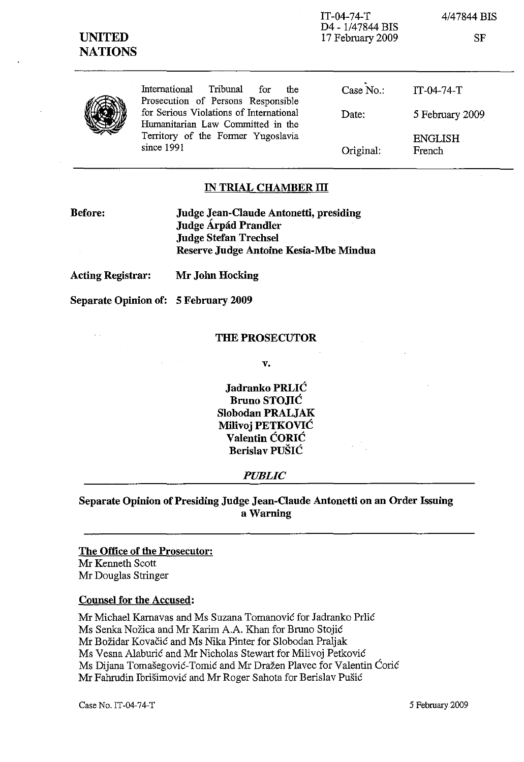| <b>UNITED</b><br><b>NATIONS</b> |                                                                                                                                                                                                                   | $IT-04-74-T$<br>D4 - 1/47844 BIS<br>17 February 2009 | 4/47844 BIS<br>SF        |
|---------------------------------|-------------------------------------------------------------------------------------------------------------------------------------------------------------------------------------------------------------------|------------------------------------------------------|--------------------------|
|                                 | International<br>Tribunal<br>for<br>the<br>Prosecution of Persons Responsible<br>for Serious Violations of International<br>Humanitarian Law Committed in the<br>Territory of the Former Yugoslavia<br>since 1991 | Case No.:                                            | $IT-04-74-T$             |
|                                 |                                                                                                                                                                                                                   | Date:                                                | 5 February 2009          |
|                                 |                                                                                                                                                                                                                   | Original:                                            | <b>ENGLISH</b><br>French |

### IN TRIAL CHAMBER III

Before:

 $\mathcal{L}^{\mathcal{L}}$ 

Judge Jean-Claude Antonetti, presiding Judge Árpád Prandler Judge Stefan Trechse1 Reserve Judge Antoine Kesia-Mbe Mindua

Acting Registrar: Mr John Hocking

Separate Opinion of: 5 February 2009

### THE PROSECUTOR

v.

Jadranko PRLIC Bruno STOJIC Slobodan PRALJAK Milivoj PETKOVIC Valentin CORIC Berislav PUŠIĆ

## *PUBLIC*

Separate Opinion of Presiding Judge Jean-Claude Antonetti on an Order Issuing a Warning

# The Office of the Prosecutor:

Mr Kenneth Scott Mr Douglas Stringer

## Counsel for the Accused:

Mr Michael Karnavas and Ms Suzana Tomanovic for Jadranko Prlic Ms Senka Nozica and Mr Karim A.A. Khan for Bruno Stojic Mr Bozidar Kovacic and Ms Nika Pinter for Slobodan Praljak Ms Vesna Alaburic and Mr Nicholas Stewart for Milivoj Petkovic Ms Dijana Tomašegović-Tomić and Mr Dražen Plavec for Valentin Ćorić Mr Fahrudin Ibrisimovic and Mr Roger Sahota for Berislav Pusic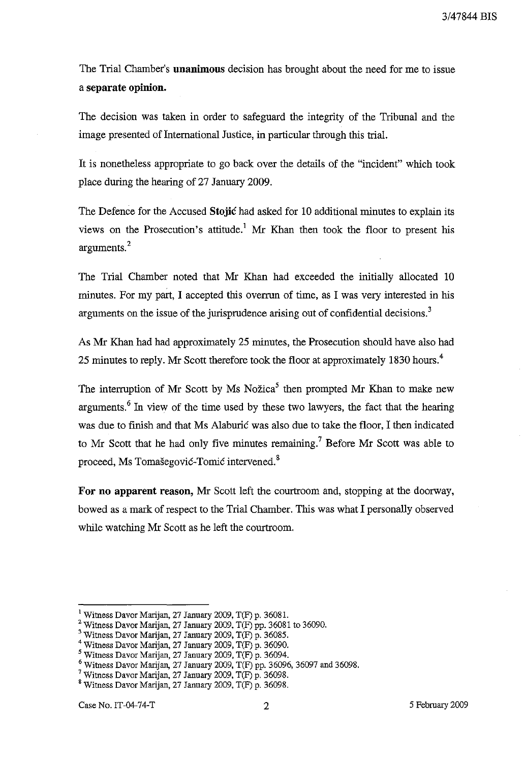The Trial Chamber's unanimous decision has brought about the need for me to issue a separate opinion.

The decision was taken in order to safeguard the integrity of the Tribunal and the image presented of International Justice, in particular through this trial.

It is nonetheless appropriate to go back over the details of the "incident" which took place during the hearing of 27 January 2009.

The Defence for the Accused Stojic had asked for 10 additional minutes to explain its views on the Prosecution's attitude.' Mr Khan then took the floor to present his arguments?

The Trial Chamber noted that Mr Khan had exceeded the initially allocated 10 minutes. For my part, I accepted this overrun of time, as I was very interested in his arguments on the issue of the jurisprudence arising out of confidential decisions.<sup>3</sup>

As Mr Khan had had approximately 25 minutes, the Prosecution should have also had 25 minutes to reply. Mr Scott therefore took the floor at approximately 1830 hours.<sup>4</sup>

The interruption of Mr Scott by Ms Nožica<sup>5</sup> then prompted Mr Khan to make new arguments.<sup> $6$ </sup> In view of the time used by these two lawyers, the fact that the hearing was due to finish and that Ms Alaburic was also due to take the floor, I then indicated to Mr Scott that he had only five minutes remaining.<sup>7</sup> Before Mr Scott was able to proceed, Ms Tomašegović-Tomić intervened.<sup>8</sup>

For no apparent reason, Mr Scott left the courtroom and, stopping at the doorway, bowed as a mark of respect to the Trial Chamber. This was what I personally observed while watching Mr Scott as he left the courtroom.

<sup>&</sup>lt;sup>1</sup> Witness Davor Marijan, 27 January 2009, T(F) p. 36081.

<sup>&</sup>lt;sup>2</sup> Witness Davor Marijan, 27 January 2009, T(F) pp. 36081 to 36090.

<sup>3</sup> Witness Davor Marijan, 27 January 2009, T(F) p. 36085.

<sup>4</sup> Witness Davor Marijan, 27 January 2009, T(F) p. 36090.

 $<sup>5</sup>$  Witness Davor Marijan, 27 January 2009, T(F) p. 36094.</sup>

 $6$  Witness Davor Marijan, 27 January 2009, T(F) pp. 36096, 36097 and 36098.

<sup>&</sup>lt;sup>7</sup> Witness Davor Marijan, 27 January 2009,  $T(F)$  p. 36098.

<sup>8</sup> Witness Davor Marijan, 27 January 2009, T(F) p. 36098.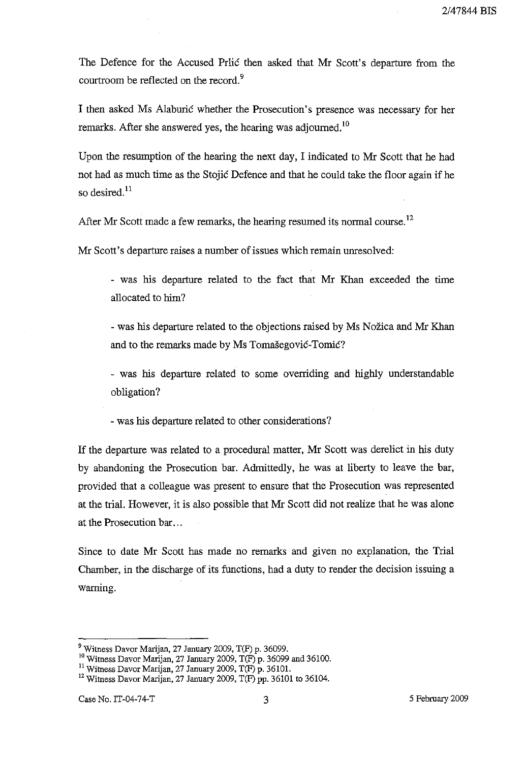The Defence for the Accused Prlic then asked that Mr Scott's departure from the courtroom be reflected on the record.<sup>9</sup>

I then asked Ms Alaburic whether the Prosecution's presence was necessary for her remarks. After she answered yes, the hearing was adjourned.<sup>10</sup>

Upon the resumption of the hearing the next day, I indicated to Mr Scott that he had not had as much time as the Stojic Defence and that he could take the floor again if he so desired. $^{11}$ 

After Mr Scott made a few remarks, the hearing resumed its normal course.<sup>12</sup>

Mr Scott's departure raises a number of issues which remain unresolved:

- was his departure related to the fact that Mr Khan exceeded the time allocated to him?

- was his departure related to the objections raised by Ms Nozica and Mr Khan and to the remarks made by Ms Tomašegović-Tomić?

- was his departure related to some overriding and highly understandable obligation?

- was his departure related to other considerations?

If the departure was related to a procedural matter, Mr Scott was derelict in his duty by abandoning the Prosecution bar. Admittedly, he was at liberty to leave the bar, provided that a colleague was present to ensure that the Prosecution was represented at the trial. However, it is also possible that Mr Scott did not realize that he was alone at the Prosecution bar ...

Since to date Mr Scott has made no remarks and given no explanation, the Trial Chamber, in the discharge of its functions, had a duty to render the decision issuing a warning.

<sup>9</sup> Witness Davor Marijan, 27 January 2009, T(F) p. 36099.

<sup>&</sup>lt;sup>10</sup> Witness Davor Marijan, 27 January 2009, T(F) p. 36099 and 36100.

<sup>11</sup> Witness Davor Marijan, 27 January 2009, T(F) p. 36101.

 $12$  Witness Davor Marijan, 27 January 2009, T(F) pp. 36101 to 36104.